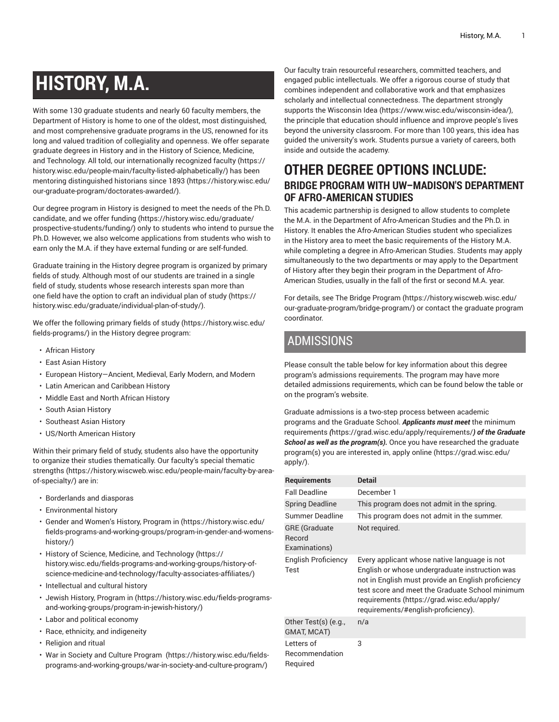# **HISTORY, M.A.**

With some 130 graduate students and nearly 60 faculty members, the Department of History is home to one of the oldest, most distinguished, and most comprehensive graduate programs in the US, renowned for its long and valued tradition of collegiality and openness. We offer separate graduate degrees in History and in the History of Science, Medicine, and Technology. All told, our internationally recognized [faculty \(https://](https://history.wisc.edu/people-main/faculty-listed-alphabetically/) [history.wisc.edu/people-main/faculty-listed-alphabetically/](https://history.wisc.edu/people-main/faculty-listed-alphabetically/)) has been mentoring [distinguished historians since 1893 \(https://history.wisc.edu/](https://history.wisc.edu/our-graduate-program/doctorates-awarded/) [our-graduate-program/doctorates-awarded/](https://history.wisc.edu/our-graduate-program/doctorates-awarded/)).

Our degree program in History is designed to meet the needs of the Ph.D. candidate, and we offer [funding](https://history.wisc.edu/graduate/prospective-students/funding/) ([https://history.wisc.edu/graduate/](https://history.wisc.edu/graduate/prospective-students/funding/) [prospective-students/funding/\)](https://history.wisc.edu/graduate/prospective-students/funding/) only to students who intend to pursue the Ph.D. However, we also welcome applications from students who wish to earn only the M.A. if they have external funding or are self-funded.

Graduate training in the History degree program is organized by primary fields of study. Although most of our students are trained in a single field of study, students whose research interests span more than one field have the option to craft an [individual plan of study](https://history.wisc.edu/graduate/individual-plan-of-study/) [\(https://](https://history.wisc.edu/graduate/individual-plan-of-study/) [history.wisc.edu/graduate/individual-plan-of-study/](https://history.wisc.edu/graduate/individual-plan-of-study/)).

We offer the following primary [fields of study \(https://history.wisc.edu/](https://history.wisc.edu/fields-programs/) [fields-programs/](https://history.wisc.edu/fields-programs/)) in the History degree program:

- African History
- East Asian History
- European History—Ancient, Medieval, Early Modern, and Modern
- Latin American and Caribbean History
- Middle East and North African History
- South Asian History
- Southeast Asian History
- US/North American History

Within their primary field of study, students also have the opportunity to organize their studies thematically. Our faculty's special [thematic](https://history.wiscweb.wisc.edu/people-main/faculty-by-area-of-specialty/) [strengths](https://history.wiscweb.wisc.edu/people-main/faculty-by-area-of-specialty/) [\(https://history.wiscweb.wisc.edu/people-main/faculty-by-area](https://history.wiscweb.wisc.edu/people-main/faculty-by-area-of-specialty/)[of-specialty/](https://history.wiscweb.wisc.edu/people-main/faculty-by-area-of-specialty/)) are in:

- Borderlands and diasporas
- Environmental history
- Gender and [Women's](https://history.wisc.edu/fields-programs-and-working-groups/program-in-gender-and-womens-history/) History, Program in ([https://history.wisc.edu/](https://history.wisc.edu/fields-programs-and-working-groups/program-in-gender-and-womens-history/) [fields-programs-and-working-groups/program-in-gender-and-womens](https://history.wisc.edu/fields-programs-and-working-groups/program-in-gender-and-womens-history/)[history/](https://history.wisc.edu/fields-programs-and-working-groups/program-in-gender-and-womens-history/))
- History of Science, Medicine, and [Technology \(https://](https://history.wisc.edu/fields-programs-and-working-groups/history-of-science-medicine-and-technology/faculty-associates-affiliates/) [history.wisc.edu/fields-programs-and-working-groups/history-of](https://history.wisc.edu/fields-programs-and-working-groups/history-of-science-medicine-and-technology/faculty-associates-affiliates/)[science-medicine-and-technology/faculty-associates-affiliates/](https://history.wisc.edu/fields-programs-and-working-groups/history-of-science-medicine-and-technology/faculty-associates-affiliates/))
- Intellectual and cultural history
- Jewish History, [Program](https://history.wisc.edu/fields-programs-and-working-groups/program-in-jewish-history/) in [\(https://history.wisc.edu/fields-programs](https://history.wisc.edu/fields-programs-and-working-groups/program-in-jewish-history/)[and-working-groups/program-in-jewish-history/](https://history.wisc.edu/fields-programs-and-working-groups/program-in-jewish-history/))
- Labor and political economy
- Race, ethnicity, and indigeneity
- Religion and ritual
- War in Society and Culture [Program \(https://history.wisc.edu/fields](https://history.wisc.edu/fields-programs-and-working-groups/war-in-society-and-culture-program/)[programs-and-working-groups/war-in-society-and-culture-program/](https://history.wisc.edu/fields-programs-and-working-groups/war-in-society-and-culture-program/))

Our faculty train resourceful researchers, committed teachers, and engaged public intellectuals. We offer a rigorous course of study that combines independent and collaborative work and that emphasizes scholarly and intellectual connectedness. The department strongly supports the [Wisconsin Idea \(https://www.wisc.edu/wisconsin-idea/\)](https://www.wisc.edu/wisconsin-idea/), the principle that education should influence and improve people's lives beyond the university classroom. For more than 100 years, this idea has guided the university's work. Students pursue a variety of careers, both inside and outside the academy.

## **OTHER DEGREE OPTIONS INCLUDE: BRIDGE PROGRAM WITH UW–MADISON'S DEPARTMENT OF AFRO-AMERICAN STUDIES**

This academic partnership is designed to allow students to complete the M.A. in the Department of Afro-American Studies and the Ph.D. in History. It enables the Afro-American Studies student who specializes in the History area to meet the basic requirements of the History M.A. while completing a degree in Afro-American Studies. Students may apply simultaneously to the two departments or may apply to the Department of History after they begin their program in the Department of Afro-American Studies, usually in the fall of the first or second M.A. year.

For details, see The Bridge [Program](https://history.wiscweb.wisc.edu/our-graduate-program/bridge-program/) ([https://history.wiscweb.wisc.edu/](https://history.wiscweb.wisc.edu/our-graduate-program/bridge-program/) [our-graduate-program/bridge-program/\)](https://history.wiscweb.wisc.edu/our-graduate-program/bridge-program/) or contact the graduate program coordinator.

## ADMISSIONS

Please consult the table below for key information about this degree program's admissions requirements. The program may have more detailed admissions requirements, which can be found below the table or on the program's website.

Graduate admissions is a two-step process between academic programs and the Graduate School. *Applicants must meet* [the minimum](https://grad.wisc.edu/apply/requirements/) [requirements](https://grad.wisc.edu/apply/requirements/) *(*<https://grad.wisc.edu/apply/requirements/>*) of the Graduate School as well as the program(s).* Once you have researched the graduate program(s) you are interested in, [apply online](https://grad.wisc.edu/apply/) ([https://grad.wisc.edu/](https://grad.wisc.edu/apply/) [apply/](https://grad.wisc.edu/apply/)).

| <b>Requirements</b>                             | <b>Detail</b>                                                                                                                                                                                                                                                                                |
|-------------------------------------------------|----------------------------------------------------------------------------------------------------------------------------------------------------------------------------------------------------------------------------------------------------------------------------------------------|
| <b>Fall Deadline</b>                            | December 1                                                                                                                                                                                                                                                                                   |
| <b>Spring Deadline</b>                          | This program does not admit in the spring.                                                                                                                                                                                                                                                   |
| Summer Deadline                                 | This program does not admit in the summer.                                                                                                                                                                                                                                                   |
| <b>GRE</b> (Graduate<br>Record<br>Examinations) | Not required.                                                                                                                                                                                                                                                                                |
| English Proficiency<br>Test                     | Every applicant whose native language is not<br>English or whose undergraduate instruction was<br>not in English must provide an English proficiency<br>test score and meet the Graduate School minimum<br>requirements (https://grad.wisc.edu/apply/<br>requirements/#english-proficiency). |
| Other Test(s) (e.g.,<br>GMAT, MCAT)             | n/a                                                                                                                                                                                                                                                                                          |
| Letters of<br>Recommendation<br>Required        | 3                                                                                                                                                                                                                                                                                            |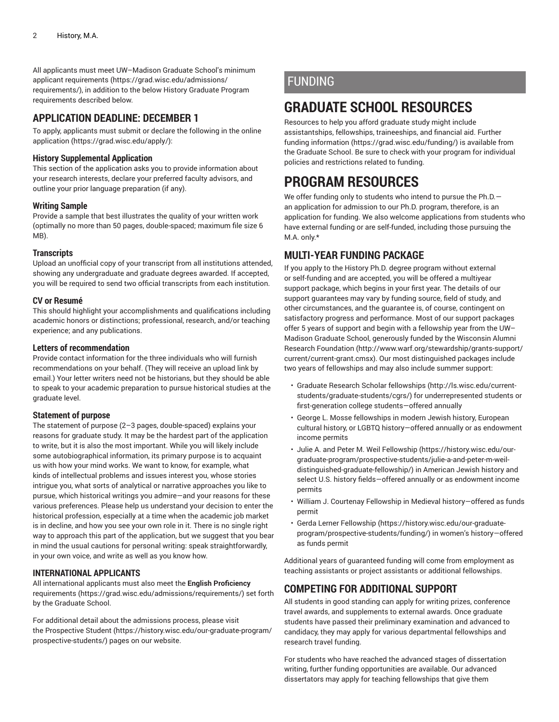All applicants must meet UW–Madison Graduate School's [minimum](https://grad.wisc.edu/admissions/requirements/) applicant [requirements](https://grad.wisc.edu/admissions/requirements/) ([https://grad.wisc.edu/admissions/](https://grad.wisc.edu/admissions/requirements/) [requirements/\)](https://grad.wisc.edu/admissions/requirements/), in addition to the below History Graduate Program requirements described below.

### **APPLICATION DEADLINE: DECEMBER 1**

To apply, applicants must submit or declare the following in the [online](https://grad.wisc.edu/apply/) [application](https://grad.wisc.edu/apply/) (<https://grad.wisc.edu/apply/>):

#### **History Supplemental Application**

This section of the application asks you to provide information about your research interests, declare your preferred faculty advisors, and outline your prior language preparation (if any).

#### **Writing Sample**

Provide a sample that best illustrates the quality of your written work (optimally no more than 50 pages, double-spaced; maximum file size 6 MB).

#### **Transcripts**

Upload an unofficial copy of your transcript from all institutions attended, showing any undergraduate and graduate degrees awarded. If accepted, you will be required to send two official transcripts from each institution.

#### **CV or Resumé**

This should highlight your accomplishments and qualifications including academic honors or distinctions; professional, research, and/or teaching experience; and any publications.

#### **Letters of recommendation**

Provide contact information for the three individuals who will furnish recommendations on your behalf. (They will receive an upload link by email.) Your letter writers need not be historians, but they should be able to speak to your academic preparation to pursue historical studies at the graduate level.

#### **Statement of purpose**

The statement of purpose (2–3 pages, double-spaced) explains your reasons for graduate study. It may be the hardest part of the application to write, but it is also the most important. While you will likely include some autobiographical information, its primary purpose is to acquaint us with how your mind works. We want to know, for example, what kinds of intellectual problems and issues interest you, whose stories intrigue you, what sorts of analytical or narrative approaches you like to pursue, which historical writings you admire—and your reasons for these various preferences. Please help us understand your decision to enter the historical profession, especially at a time when the academic job market is in decline, and how you see your own role in it. There is no single right way to approach this part of the application, but we suggest that you bear in mind the usual cautions for personal writing: speak straightforwardly, in your own voice, and write as well as you know how.

#### **INTERNATIONAL APPLICANTS**

All international applicants must also meet the **English Proficiency** [requirements \(https://grad.wisc.edu/admissions/requirements/](https://grad.wisc.edu/admissions/requirements/)) set forth by the Graduate School.

For additional detail about the admissions process, please visit the [Prospective](https://history.wisc.edu/our-graduate-program/prospective-students/) Student ([https://history.wisc.edu/our-graduate-program/](https://history.wisc.edu/our-graduate-program/prospective-students/) [prospective-students/](https://history.wisc.edu/our-graduate-program/prospective-students/)) pages on our website.

## FUNDING

## **GRADUATE SCHOOL RESOURCES**

Resources to help you afford graduate study might include assistantships, fellowships, traineeships, and financial aid. [Further](https://grad.wisc.edu/funding/) [funding information \(https://grad.wisc.edu/funding/](https://grad.wisc.edu/funding/)) is available from the Graduate School. Be sure to check with your program for individual policies and restrictions related to funding.

## **PROGRAM RESOURCES**

We offer funding only to students who intend to pursue the Ph.D.an application for admission to our Ph.D. program, therefore, is an application for funding. We also welcome applications from students who have external funding or are self-funded, including those pursuing the M.A. only.\*

## **MULTI-YEAR FUNDING PACKAGE**

If you apply to the History Ph.D. degree program without external or self-funding and are accepted, you will be offered a multiyear support package, which begins in your first year. The details of our support guarantees may vary by funding source, field of study, and other circumstances, and the guarantee is, of course, contingent on satisfactory progress and performance. Most of our support packages offer 5 years of support and begin with a fellowship year from the UW– Madison Graduate School, generously funded by the [Wisconsin Alumni](http://www.warf.org/stewardship/grants-support/current/current-grant.cmsx) Research [Foundation](http://www.warf.org/stewardship/grants-support/current/current-grant.cmsx) ([http://www.warf.org/stewardship/grants-support/](http://www.warf.org/stewardship/grants-support/current/current-grant.cmsx) [current/current-grant.cmsx\)](http://www.warf.org/stewardship/grants-support/current/current-grant.cmsx). Our most distinguished packages include two years of fellowships and may also include summer support:

- Graduate Research Scholar [fellowships \(http://ls.wisc.edu/current](http://ls.wisc.edu/current-students/graduate-students/cgrs/)[students/graduate-students/cgrs/\)](http://ls.wisc.edu/current-students/graduate-students/cgrs/) for underrepresented students or first-generation college students—offered annually
- George L. Mosse fellowships in modern Jewish history, European cultural history, or LGBTQ history—offered annually or as endowment income permits
- Julie A. and Peter M. Weil [Fellowship](https://history.wisc.edu/our-graduate-program/prospective-students/julie-a-and-peter-m-weil-distinguished-graduate-fellowship/) ([https://history.wisc.edu/our](https://history.wisc.edu/our-graduate-program/prospective-students/julie-a-and-peter-m-weil-distinguished-graduate-fellowship/)[graduate-program/prospective-students/julie-a-and-peter-m-weil](https://history.wisc.edu/our-graduate-program/prospective-students/julie-a-and-peter-m-weil-distinguished-graduate-fellowship/)[distinguished-graduate-fellowship/\)](https://history.wisc.edu/our-graduate-program/prospective-students/julie-a-and-peter-m-weil-distinguished-graduate-fellowship/) in American Jewish history and select U.S. history fields—offered annually or as endowment income permits
- William J. Courtenay Fellowship in Medieval history—offered as funds permit
- Gerda Lerner [Fellowship](https://history.wisc.edu/our-graduate-program/prospective-students/funding/) ([https://history.wisc.edu/our-graduate](https://history.wisc.edu/our-graduate-program/prospective-students/funding/)[program/prospective-students/funding/](https://history.wisc.edu/our-graduate-program/prospective-students/funding/)) in women's history—offered as funds permit

Additional years of guaranteed funding will come from employment as teaching assistants or project assistants or additional fellowships.

## **COMPETING FOR ADDITIONAL SUPPORT**

All students in good standing can apply for writing prizes, conference travel awards, and supplements to external awards. Once graduate students have passed their preliminary examination and advanced to candidacy, they may apply for various departmental fellowships and research travel funding.

For students who have reached the advanced stages of dissertation writing, further funding opportunities are available. Our advanced dissertators may apply for teaching fellowships that give them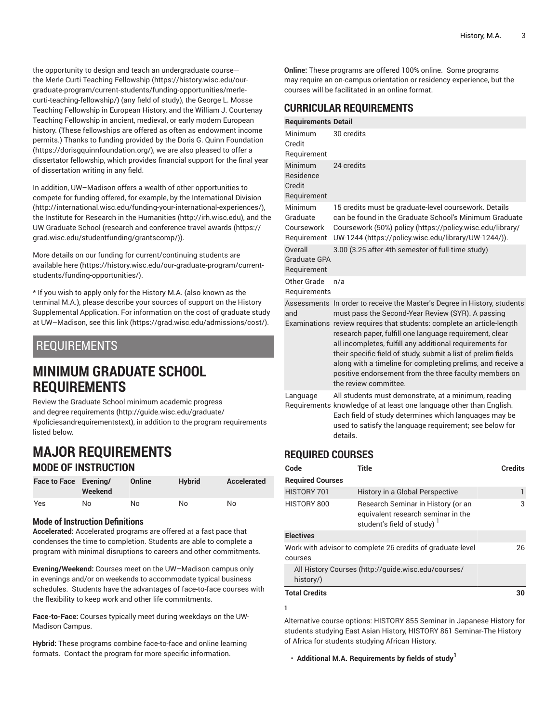the opportunity to design and teach an undergraduate course the Merle Curti Teaching [Fellowship](https://history.wisc.edu/our-graduate-program/current-students/funding-opportunities/merle-curti-teaching-fellowship/) ([https://history.wisc.edu/our](https://history.wisc.edu/our-graduate-program/current-students/funding-opportunities/merle-curti-teaching-fellowship/)[graduate-program/current-students/funding-opportunities/merle](https://history.wisc.edu/our-graduate-program/current-students/funding-opportunities/merle-curti-teaching-fellowship/)[curti-teaching-fellowship/](https://history.wisc.edu/our-graduate-program/current-students/funding-opportunities/merle-curti-teaching-fellowship/)) (any field of study), the George L. Mosse Teaching Fellowship in European History, and the William J. Courtenay Teaching Fellowship in ancient, medieval, or early modern European history. (These fellowships are offered as often as endowment income permits.) Thanks to funding provided by the Doris G. Quinn [Foundation](https://dorisgquinnfoundation.org/) (<https://dorisgquinnfoundation.org/>), we are also pleased to offer a dissertator fellowship, which provides financial support for the final year of dissertation writing in any field.

In addition, UW–Madison offers a wealth of other opportunities to compete for funding offered, for example, by the [International Division](http://international.wisc.edu/funding-your-international-experiences/) ([http://international.wisc.edu/funding-your-international-experiences/\)](http://international.wisc.edu/funding-your-international-experiences/), the Institute for Research in the [Humanities \(http://irh.wisc.edu\)](http://irh.wisc.edu), and the UW Graduate School (research and [conference](https://grad.wisc.edu/studentfunding/grantscomp/) travel awards ([https://](https://grad.wisc.edu/studentfunding/grantscomp/) [grad.wisc.edu/studentfunding/grantscomp/\)](https://grad.wisc.edu/studentfunding/grantscomp/)).

More details on our funding for current/continuing students are available [here \(https://history.wisc.edu/our-graduate-program/current](https://history.wisc.edu/our-graduate-program/current-students/funding-opportunities/)[students/funding-opportunities/](https://history.wisc.edu/our-graduate-program/current-students/funding-opportunities/)).

\* If you wish to apply only for the History M.A. (also known as the terminal M.A.), please describe your sources of support on the History Supplemental Application. For information on the cost of graduate study at UW–Madison, [see this link](https://grad.wisc.edu/admissions/cost/) [\(https://grad.wisc.edu/admissions/cost/](https://grad.wisc.edu/admissions/cost/)).

## REQUIREMENTS

## **MINIMUM GRADUATE SCHOOL REQUIREMENTS**

Review the Graduate School minimum [academic](http://guide.wisc.edu/graduate/#policiesandrequirementstext) progress and degree [requirements](http://guide.wisc.edu/graduate/#policiesandrequirementstext) [\(http://guide.wisc.edu/graduate/](http://guide.wisc.edu/graduate/#policiesandrequirementstext) [#policiesandrequirementstext\)](http://guide.wisc.edu/graduate/#policiesandrequirementstext), in addition to the program requirements listed below.

## **MAJOR REQUIREMENTS MODE OF INSTRUCTION**

| Face to Face Evening/ | Weekend | Online | <b>Hybrid</b> | Accelerated |
|-----------------------|---------|--------|---------------|-------------|
| Yes                   | No      | No     | No            | No          |

#### **Mode of Instruction Definitions**

**Accelerated:** Accelerated programs are offered at a fast pace that condenses the time to completion. Students are able to complete a program with minimal disruptions to careers and other commitments.

**Evening/Weekend:** Courses meet on the UW–Madison campus only in evenings and/or on weekends to accommodate typical business schedules. Students have the advantages of face-to-face courses with the flexibility to keep work and other life commitments.

**Face-to-Face:** Courses typically meet during weekdays on the UW-Madison Campus.

**Hybrid:** These programs combine face-to-face and online learning formats. Contact the program for more specific information.

**Online:** These programs are offered 100% online. Some programs may require an on-campus orientation or residency experience, but the courses will be facilitated in an online format.

### **CURRICULAR REQUIREMENTS**

|                                                  | <u>oommoocan negomeivien i o</u>                                                                                                                                                                                                                                                                                                                                                                                                                                                                                                                  |
|--------------------------------------------------|---------------------------------------------------------------------------------------------------------------------------------------------------------------------------------------------------------------------------------------------------------------------------------------------------------------------------------------------------------------------------------------------------------------------------------------------------------------------------------------------------------------------------------------------------|
| <b>Requirements Detail</b>                       |                                                                                                                                                                                                                                                                                                                                                                                                                                                                                                                                                   |
| Minimum<br>Credit<br>Requirement                 | 30 credits                                                                                                                                                                                                                                                                                                                                                                                                                                                                                                                                        |
| Minimum<br>Residence<br>Credit<br>Requirement    | 24 credits                                                                                                                                                                                                                                                                                                                                                                                                                                                                                                                                        |
| Minimum<br>Graduate<br>Coursework<br>Requirement | 15 credits must be graduate-level coursework. Details<br>can be found in the Graduate School's Minimum Graduate<br>Coursework (50%) policy (https://policy.wisc.edu/library/<br>UW-1244 (https://policy.wisc.edu/library/UW-1244/)).                                                                                                                                                                                                                                                                                                              |
| Overall<br>Graduate GPA<br>Requirement           | 3.00 (3.25 after 4th semester of full-time study)                                                                                                                                                                                                                                                                                                                                                                                                                                                                                                 |
| Other Grade<br>Requirements                      | n/a                                                                                                                                                                                                                                                                                                                                                                                                                                                                                                                                               |
| and                                              | Assessments In order to receive the Master's Degree in History, students<br>must pass the Second-Year Review (SYR). A passing<br>Examinations review requires that students: complete an article-length<br>research paper, fulfill one language requirement, clear<br>all incompletes, fulfill any additional requirements for<br>their specific field of study, submit a list of prelim fields<br>along with a timeline for completing prelims, and receive a<br>positive endorsement from the three faculty members on<br>the review committee. |
| Language                                         | All students must demonstrate, at a minimum, reading<br>Requirements knowledge of at least one language other than English.<br>Each field of study determines which languages may be<br>used to satisfy the language requirement; see below for<br>details.                                                                                                                                                                                                                                                                                       |

## **REQUIRED COURSES**

| Code                                                                  | Title                                                                                                              | <b>Credits</b> |  |
|-----------------------------------------------------------------------|--------------------------------------------------------------------------------------------------------------------|----------------|--|
| <b>Required Courses</b>                                               |                                                                                                                    |                |  |
| HISTORY 701                                                           | History in a Global Perspective                                                                                    |                |  |
| HISTORY 800                                                           | Research Seminar in History (or an<br>equivalent research seminar in the<br>student's field of study) <sup>1</sup> | 3              |  |
| <b>Electives</b>                                                      |                                                                                                                    |                |  |
| Work with advisor to complete 26 credits of graduate-level<br>courses |                                                                                                                    |                |  |
| history/)                                                             | All History Courses (http://guide.wisc.edu/courses/                                                                |                |  |
| <b>Total Credits</b>                                                  |                                                                                                                    | 30             |  |
|                                                                       |                                                                                                                    |                |  |

Alternative course options: HISTORY 855 Seminar in Japanese History for students studying East Asian History, HISTORY 861 Seminar-The History of Africa for students studying African History.

• **Additional M.A. Requirements by fields of study 1**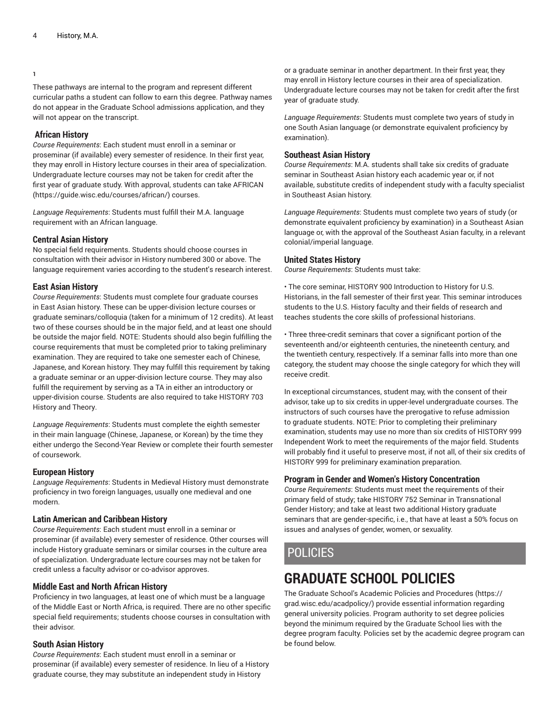#### **1**

These pathways are internal to the program and represent different curricular paths a student can follow to earn this degree. Pathway names do not appear in the Graduate School admissions application, and they will not appear on the transcript.

#### **African History**

*Course Requirements*: Each student must enroll in a seminar or proseminar (if available) every semester of residence. In their first year, they may enroll in History lecture courses in their area of specialization. Undergraduate lecture courses may not be taken for credit after the first year of graduate study. With approval, students can take [AFRICAN](https://guide.wisc.edu/courses/african/) ([https://guide.wisc.edu/courses/african/\)](https://guide.wisc.edu/courses/african/) courses.

*Language Requirements*: Students must fulfill their M.A. language requirement with an African language.

#### **Central Asian History**

No special field requirements. Students should choose courses in consultation with their advisor in History numbered 300 or above. The language requirement varies according to the student's research interest.

#### **East Asian History**

*Course Requirements*: Students must complete four graduate courses in East Asian history. These can be upper-division lecture courses or graduate seminars/colloquia (taken for a minimum of 12 credits). At least two of these courses should be in the major field, and at least one should be outside the major field. NOTE: Students should also begin fulfilling the course requirements that must be completed prior to taking preliminary examination. They are required to take one semester each of Chinese, Japanese, and Korean history. They may fulfill this requirement by taking a graduate seminar or an upper-division lecture course. They may also fulfill the requirement by serving as a TA in either an introductory or upper-division course. Students are also required to take HISTORY 703 History and Theory.

*Language Requirements*: Students must complete the eighth semester in their main language (Chinese, Japanese, or Korean) by the time they either undergo the Second-Year Review or complete their fourth semester of coursework.

#### **European History**

*Language Requirements*: Students in Medieval History must demonstrate proficiency in two foreign languages, usually one medieval and one modern.

#### **Latin American and Caribbean History**

*Course Requirements*: Each student must enroll in a seminar or proseminar (if available) every semester of residence. Other courses will include History graduate seminars or similar courses in the culture area of specialization. Undergraduate lecture courses may not be taken for credit unless a faculty advisor or co-advisor approves.

#### **Middle East and North African History**

Proficiency in two languages, at least one of which must be a language of the Middle East or North Africa, is required. There are no other specific special field requirements; students choose courses in consultation with their advisor.

#### **South Asian History**

*Course Requirements*: Each student must enroll in a seminar or proseminar (if available) every semester of residence. In lieu of a History graduate course, they may substitute an independent study in History

or a graduate seminar in another department. In their first year, they may enroll in History lecture courses in their area of specialization. Undergraduate lecture courses may not be taken for credit after the first year of graduate study.

*Language Requirements*: Students must complete two years of study in one South Asian language (or demonstrate equivalent proficiency by examination).

#### **Southeast Asian History**

*Course Requirements*: M.A. students shall take six credits of graduate seminar in Southeast Asian history each academic year or, if not available, substitute credits of independent study with a faculty specialist in Southeast Asian history.

*Language Requirements*: Students must complete two years of study (or demonstrate equivalent proficiency by examination) in a Southeast Asian language or, with the approval of the Southeast Asian faculty, in a relevant colonial/imperial language.

#### **United States History**

*Course Requirements*: Students must take:

• The core seminar, HISTORY 900 Introduction to History for U.S. Historians, in the fall semester of their first year. This seminar introduces students to the U.S. History faculty and their fields of research and teaches students the core skills of professional historians.

• Three three-credit seminars that cover a significant portion of the seventeenth and/or eighteenth centuries, the nineteenth century, and the twentieth century, respectively. If a seminar falls into more than one category, the student may choose the single category for which they will receive credit.

In exceptional circumstances, student may, with the consent of their advisor, take up to six credits in upper-level undergraduate courses. The instructors of such courses have the prerogative to refuse admission to graduate students. NOTE: Prior to completing their preliminary examination, students may use no more than six credits of HISTORY 999 Independent Work to meet the requirements of the major field. Students will probably find it useful to preserve most, if not all, of their six credits of HISTORY 999 for preliminary examination preparation.

#### **Program in Gender and Women's History Concentration**

*Course Requirements*: Students must meet the requirements of their primary field of study; take HISTORY 752 Seminar in Transnational Gender History; and take at least two additional History graduate seminars that are gender-specific, i.e., that have at least a 50% focus on issues and analyses of gender, women, or sexuality.

## POLICIES

## **GRADUATE SCHOOL POLICIES**

The Graduate School's Academic Policies and [Procedures \(https://](https://grad.wisc.edu/acadpolicy/) [grad.wisc.edu/acadpolicy/](https://grad.wisc.edu/acadpolicy/)) provide essential information regarding general university policies. Program authority to set degree policies beyond the minimum required by the Graduate School lies with the degree program faculty. Policies set by the academic degree program can be found below.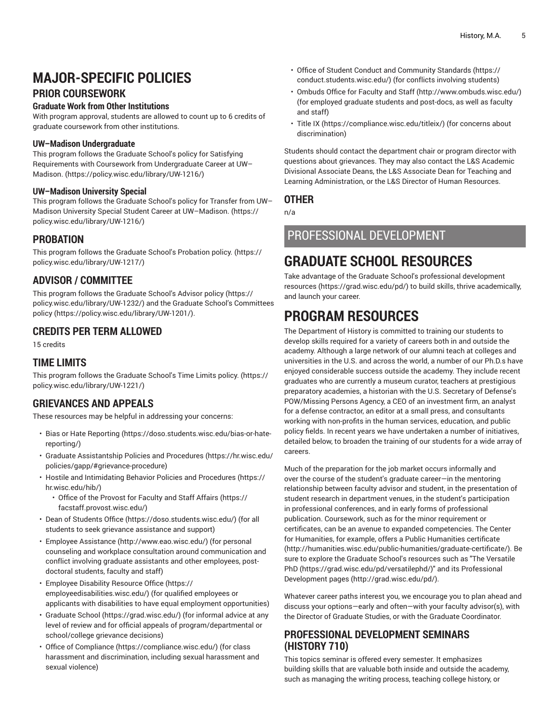## **MAJOR-SPECIFIC POLICIES**

### **PRIOR COURSEWORK**

#### **Graduate Work from Other Institutions**

With program approval, students are allowed to count up to 6 credits of graduate coursework from other institutions.

#### **UW–Madison Undergraduate**

This program follows the [Graduate School's policy for Satisfying](https://policy.wisc.edu/library/UW-1216/) Requirements with Coursework from [Undergraduate](https://policy.wisc.edu/library/UW-1216/) Career at UW– [Madison.](https://policy.wisc.edu/library/UW-1216/) (<https://policy.wisc.edu/library/UW-1216/>)

#### **UW–Madison University Special**

This program follows the [Graduate](https://policy.wisc.edu/library/UW-1216/) School's policy for Transfer from UW– Madison University Special Student Career at [UW–Madison.](https://policy.wisc.edu/library/UW-1216/) ([https://](https://policy.wisc.edu/library/UW-1216/) [policy.wisc.edu/library/UW-1216/\)](https://policy.wisc.edu/library/UW-1216/)

#### **PROBATION**

This program follows the Graduate School's [Probation](https://policy.wisc.edu/library/UW-1217/) policy. [\(https://](https://policy.wisc.edu/library/UW-1217/) [policy.wisc.edu/library/UW-1217/\)](https://policy.wisc.edu/library/UW-1217/)

### **ADVISOR / COMMITTEE**

This program follows the [Graduate](https://policy.wisc.edu/library/UW-1232/) School's Advisor policy ([https://](https://policy.wisc.edu/library/UW-1232/) [policy.wisc.edu/library/UW-1232/\)](https://policy.wisc.edu/library/UW-1232/) and the Graduate School's [Committees](https://policy.wisc.edu/library/UW-1201/) [policy](https://policy.wisc.edu/library/UW-1201/) (<https://policy.wisc.edu/library/UW-1201/>).

### **CREDITS PER TERM ALLOWED**

15 credits

### **TIME LIMITS**

This program follows the [Graduate](https://policy.wisc.edu/library/UW-1221/) School's Time Limits policy. [\(https://](https://policy.wisc.edu/library/UW-1221/) [policy.wisc.edu/library/UW-1221/\)](https://policy.wisc.edu/library/UW-1221/)

### **GRIEVANCES AND APPEALS**

These resources may be helpful in addressing your concerns:

- Bias or Hate [Reporting](https://doso.students.wisc.edu/bias-or-hate-reporting/) ([https://doso.students.wisc.edu/bias-or-hate](https://doso.students.wisc.edu/bias-or-hate-reporting/)[reporting/\)](https://doso.students.wisc.edu/bias-or-hate-reporting/)
- Graduate [Assistantship](https://hr.wisc.edu/policies/gapp/#grievance-procedure) Policies and Procedures ([https://hr.wisc.edu/](https://hr.wisc.edu/policies/gapp/#grievance-procedure) [policies/gapp/#grievance-procedure\)](https://hr.wisc.edu/policies/gapp/#grievance-procedure)
- Hostile and [Intimidating](https://hr.wisc.edu/hib/) Behavior Policies and Procedures [\(https://](https://hr.wisc.edu/hib/) [hr.wisc.edu/hib/](https://hr.wisc.edu/hib/))
	- Office of the [Provost](https://facstaff.provost.wisc.edu/) for Faculty and Staff Affairs ([https://](https://facstaff.provost.wisc.edu/) [facstaff.provost.wisc.edu/\)](https://facstaff.provost.wisc.edu/)
- [Dean of Students Office](https://doso.students.wisc.edu/) (<https://doso.students.wisc.edu/>) (for all students to seek grievance assistance and support)
- Employee [Assistance](http://www.eao.wisc.edu/) (<http://www.eao.wisc.edu/>) (for personal counseling and workplace consultation around communication and conflict involving graduate assistants and other employees, postdoctoral students, faculty and staff)
- [Employee](https://employeedisabilities.wisc.edu/) Disability Resource Office ([https://](https://employeedisabilities.wisc.edu/) [employeedisabilities.wisc.edu/\)](https://employeedisabilities.wisc.edu/) (for qualified employees or applicants with disabilities to have equal employment opportunities)
- [Graduate School](https://grad.wisc.edu/) ([https://grad.wisc.edu/\)](https://grad.wisc.edu/) (for informal advice at any level of review and for official appeals of program/departmental or school/college grievance decisions)
- [Office of Compliance](https://compliance.wisc.edu/) (<https://compliance.wisc.edu/>) (for class harassment and discrimination, including sexual harassment and sexual violence)
- Office of Student Conduct and [Community](https://conduct.students.wisc.edu/) Standards ([https://](https://conduct.students.wisc.edu/) [conduct.students.wisc.edu/](https://conduct.students.wisc.edu/)) (for conflicts involving students)
- [Ombuds](http://www.ombuds.wisc.edu/) Office for Faculty and Staff ([http://www.ombuds.wisc.edu/\)](http://www.ombuds.wisc.edu/) (for employed graduate students and post-docs, as well as faculty and staff)
- [Title](https://compliance.wisc.edu/titleix/) IX [\(https://compliance.wisc.edu/titleix/\)](https://compliance.wisc.edu/titleix/) (for concerns about discrimination)

Students should contact the department chair or program director with questions about grievances. They may also contact the L&S Academic Divisional Associate Deans, the L&S Associate Dean for Teaching and Learning Administration, or the L&S Director of Human Resources.

### **OTHER**

n/a

## PROFESSIONAL DEVELOPMENT

## **GRADUATE SCHOOL RESOURCES**

Take advantage of the Graduate School's professional [development](https://grad.wisc.edu/pd/) [resources \(https://grad.wisc.edu/pd/\)](https://grad.wisc.edu/pd/) to build skills, thrive academically, and launch your career.

## **PROGRAM RESOURCES**

The Department of History is committed to training our students to develop skills required for a variety of careers both in and outside the academy. Although a large network of our alumni teach at colleges and universities in the U.S. and across the world, a number of our Ph.D.s have enjoyed considerable success outside the academy. They include recent graduates who are currently a museum curator, teachers at prestigious preparatory academies, a historian with the U.S. Secretary of Defense's POW/Missing Persons Agency, a CEO of an investment firm, an analyst for a defense contractor, an editor at a small press, and consultants working with non-profits in the human services, education, and public policy fields. In recent years we have undertaken a number of initiatives, detailed below, to broaden the training of our students for a wide array of careers.

Much of the preparation for the job market occurs informally and over the course of the student's graduate career—in the mentoring relationship between faculty advisor and student, in the presentation of student research in department venues, in the student's participation in professional conferences, and in early forms of professional publication. Coursework, such as for the minor requirement or certificates, can be an avenue to expanded competencies. The Center for Humanities, for example, offers a Public [Humanities](http://humanities.wisc.edu/public-humanities/graduate-certificate/) certificate [\(http://humanities.wisc.edu/public-humanities/graduate-certificate/](http://humanities.wisc.edu/public-humanities/graduate-certificate/)). Be sure to explore the Graduate School's resources such as "The [Versatile](https://grad.wisc.edu/pd/versatilephd/) [PhD](https://grad.wisc.edu/pd/versatilephd/) ([https://grad.wisc.edu/pd/versatilephd/\)](https://grad.wisc.edu/pd/versatilephd/)" and its [Professional](http://grad.wisc.edu/pd/) [Development](http://grad.wisc.edu/pd/) pages [\(http://grad.wisc.edu/pd/](http://grad.wisc.edu/pd/)).

Whatever career paths interest you, we encourage you to plan ahead and discuss your options—early and often—with your faculty advisor(s), with the Director of Graduate Studies, or with the Graduate Coordinator.

### **PROFESSIONAL DEVELOPMENT SEMINARS (HISTORY 710)**

This topics seminar is offered every semester. It emphasizes building skills that are valuable both inside and outside the academy, such as managing the writing process, teaching college history, or